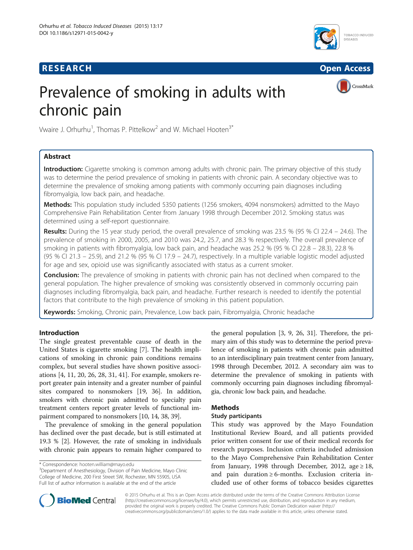## **RESEARCH RESEARCH** *CHECKER CHECKER CHECKER CHECKER CHECKER CHECKER CHECKER CHECKER CHECKER CHECKER CHECKER*



CrossMark

# Prevalence of smoking in adults with chronic pain

Vwaire J. Orhurhu<sup>1</sup>, Thomas P. Pittelkow<sup>2</sup> and W. Michael Hooten<sup>3\*</sup>

## Abstract

Introduction: Cigarette smoking is common among adults with chronic pain. The primary objective of this study was to determine the period prevalence of smoking in patients with chronic pain. A secondary objective was to determine the prevalence of smoking among patients with commonly occurring pain diagnoses including fibromyalgia, low back pain, and headache.

Methods: This population study included 5350 patients (1256 smokers, 4094 nonsmokers) admitted to the Mayo Comprehensive Pain Rehabilitation Center from January 1998 through December 2012. Smoking status was determined using a self-report questionnaire.

Results: During the 15 year study period, the overall prevalence of smoking was 23.5 % (95 % CI 22.4 – 24.6). The prevalence of smoking in 2000, 2005, and 2010 was 24.2, 25.7, and 28.3 % respectively. The overall prevalence of smoking in patients with fibromyalgia, low back pain, and headache was 25.2 % (95 % CI 22.8 – 28.3), 22.8 % (95 % CI 21.3 – 25.9), and 21.2 % (95 % CI 17.9 – 24.7), respectively. In a multiple variable logistic model adjusted for age and sex, opioid use was significantly associated with status as a current smoker.

**Conclusion:** The prevalence of smoking in patients with chronic pain has not declined when compared to the general population. The higher prevalence of smoking was consistently observed in commonly occurring pain diagnoses including fibromyalgia, back pain, and headache. Further research is needed to identify the potential factors that contribute to the high prevalence of smoking in this patient population.

Keywords: Smoking, Chronic pain, Prevalence, Low back pain, Fibromyalgia, Chronic headache

## Introduction

The single greatest preventable cause of death in the United States is cigarette smoking [\[7](#page-4-0)]. The health implications of smoking in chronic pain conditions remains complex, but several studies have shown positive associations [\[4](#page-4-0), [11,](#page-4-0) [20, 26, 28](#page-5-0), [31](#page-5-0), [41\]](#page-5-0). For example, smokers report greater pain intensity and a greater number of painful sites compared to nonsmokers [[19](#page-4-0), [36\]](#page-5-0). In addition, smokers with chronic pain admitted to specialty pain treatment centers report greater levels of functional impairment compared to nonsmokers [[10](#page-4-0), [14,](#page-4-0) [38, 39](#page-5-0)].

The prevalence of smoking in the general population has declined over the past decade, but is still estimated at 19.3 % [[2\]](#page-4-0). However, the rate of smoking in individuals with chronic pain appears to remain higher compared to

<sup>3</sup>Department of Anesthesiology, Division of Pain Medicine, Mayo Clinic College of Medicine, 200 First Street SW, Rochester, MN 55905, USA Full list of author information is available at the end of the article

the general population [[3, 9,](#page-4-0) [26](#page-5-0), [31](#page-5-0)]. Therefore, the primary aim of this study was to determine the period prevalence of smoking in patients with chronic pain admitted to an interdisciplinary pain treatment center from January, 1998 through December, 2012. A secondary aim was to determine the prevalence of smoking in patients with commonly occurring pain diagnoses including fibromyalgia, chronic low back pain, and headache.

## Methods

## Study participants

This study was approved by the Mayo Foundation Institutional Review Board, and all patients provided prior written consent for use of their medical records for research purposes. Inclusion criteria included admission to the Mayo Comprehensive Pain Rehabilitation Center from January, 1998 through December, 2012, age  $\geq 18$ , and pain duration  $\geq 6$ -months. Exclusion criteria included use of other forms of tobacco besides cigarettes



© 2015 Orhurhu et al. This is an Open Access article distributed under the terms of the Creative Commons Attribution License [\(http://creativecommons.org/licenses/by/4.0\)](http://creativecommons.org/licenses/by/4.0), which permits unrestricted use, distribution, and reproduction in any medium, provided the original work is properly credited. The Creative Commons Public Domain Dedication waiver [\(http://](http://creativecommons.org/publicdomain/zero/1.0/) [creativecommons.org/publicdomain/zero/1.0/\)](http://creativecommons.org/publicdomain/zero/1.0/) applies to the data made available in this article, unless otherwise stated.

<sup>\*</sup> Correspondence: [hooten.william@mayo.edu](mailto:hooten.william@mayo.edu) <sup>3</sup>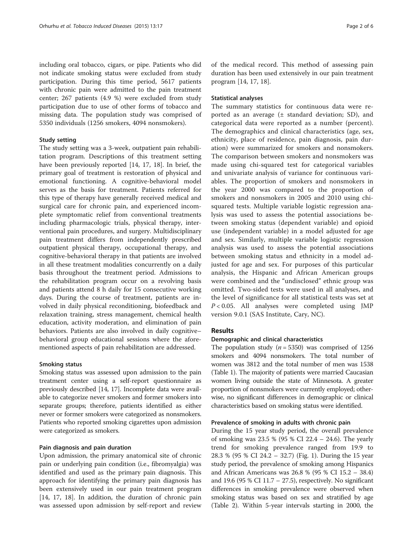including oral tobacco, cigars, or pipe. Patients who did not indicate smoking status were excluded from study participation. During this time period, 5617 patients with chronic pain were admitted to the pain treatment center; 267 patients (4.9 %) were excluded from study participation due to use of other forms of tobacco and missing data. The population study was comprised of 5350 individuals (1256 smokers, 4094 nonsmokers).

## Study setting

The study setting was a 3-week, outpatient pain rehabilitation program. Descriptions of this treatment setting have been previously reported [[14, 17](#page-4-0), [18](#page-4-0)]. In brief, the primary goal of treatment is restoration of physical and emotional functioning. A cognitive-behavioral model serves as the basis for treatment. Patients referred for this type of therapy have generally received medical and surgical care for chronic pain, and experienced incomplete symptomatic relief from conventional treatments including pharmacologic trials, physical therapy, interventional pain procedures, and surgery. Multidisciplinary pain treatment differs from independently prescribed outpatient physical therapy, occupational therapy, and cognitive-behavioral therapy in that patients are involved in all these treatment modalities concurrently on a daily basis throughout the treatment period. Admissions to the rehabilitation program occur on a revolving basis and patients attend 8 h daily for 15 consecutive working days. During the course of treatment, patients are involved in daily physical reconditioning, biofeedback and relaxation training, stress management, chemical health education, activity moderation, and elimination of pain behaviors. Patients are also involved in daily cognitive– behavioral group educational sessions where the aforementioned aspects of pain rehabilitation are addressed.

#### Smoking status

Smoking status was assessed upon admission to the pain treatment center using a self-report questionnaire as previously described [\[14, 17\]](#page-4-0). Incomplete data were available to categorize never smokers and former smokers into separate groups; therefore, patients identified as either never or former smokers were categorized as nonsmokers. Patients who reported smoking cigarettes upon admission were categorized as smokers.

## Pain diagnosis and pain duration

Upon admission, the primary anatomical site of chronic pain or underlying pain condition (i.e., fibromyalgia) was identified and used as the primary pain diagnosis. This approach for identifying the primary pain diagnosis has been extensively used in our pain treatment program [[14, 17](#page-4-0), [18](#page-4-0)]. In addition, the duration of chronic pain was assessed upon admission by self-report and review of the medical record. This method of assessing pain duration has been used extensively in our pain treatment program [[14, 17, 18](#page-4-0)].

#### Statistical analyses

The summary statistics for continuous data were reported as an average (± standard deviation; SD), and categorical data were reported as a number (percent). The demographics and clinical characteristics (age, sex, ethnicity, place of residence, pain diagnosis, pain duration) were summarized for smokers and nonsmokers. The comparison between smokers and nonsmokers was made using chi-squared test for categorical variables and univariate analysis of variance for continuous variables. The proportion of smokers and nonsmokers in the year 2000 was compared to the proportion of smokers and nonsmokers in 2005 and 2010 using chisquared tests. Multiple variable logistic regression analysis was used to assess the potential associations between smoking status (dependent variable) and opioid use (independent variable) in a model adjusted for age and sex. Similarly, multiple variable logistic regression analysis was used to assess the potential associations between smoking status and ethnicity in a model adjusted for age and sex. For purposes of this particular analysis, the Hispanic and African American groups were combined and the "undisclosed" ethnic group was omitted. Two-sided tests were used in all analyses, and the level of significance for all statistical tests was set at  $P < 0.05$ . All analyses were completed using JMP version 9.0.1 (SAS Institute, Cary, NC).

## Results

#### Demographic and clinical characteristics

The population study  $(n = 5350)$  was comprised of 1256 smokers and 4094 nonsmokers. The total number of women was 3812 and the total number of men was 1538 (Table [1\)](#page-2-0). The majority of patients were married Caucasian women living outside the state of Minnesota. A greater proportion of nonsmokers were currently employed; otherwise, no significant differences in demographic or clinical characteristics based on smoking status were identified.

#### Prevalence of smoking in adults with chronic pain

During the 15 year study period, the overall prevalence of smoking was 23.5 % (95 % CI 22.4 – 24.6). The yearly trend for smoking prevalence ranged from 19.9 to 28.3 % (95 % CI 24.2 – 32.7) (Fig. [1\)](#page-3-0). During the 15 year study period, the prevalence of smoking among Hispanics and African Americans was 26.8 % (95 % CI 15.2 – 38.4) and 19.6 (95 % CI 11.7 – 27.5), respectively. No significant differences in smoking prevalence were observed when smoking status was based on sex and stratified by age (Table [2](#page-3-0)). Within 5-year intervals starting in 2000, the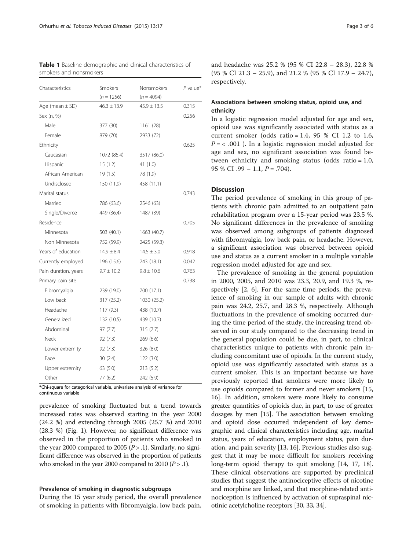| Characteristics      | Smokers         | Nonsmokers      | $P$ value* |
|----------------------|-----------------|-----------------|------------|
|                      | $(n = 1256)$    | $(n = 4094)$    |            |
| Age (mean $\pm$ SD)  | $46.3 \pm 13.9$ | $45.9 \pm 13.5$ | 0.315      |
| Sex (n, %)           |                 |                 | 0.256      |
| Male                 | 377 (30)        | 1161 (28)       |            |
| Female               | 879 (70)        | 2933 (72)       |            |
| Ethnicity            |                 |                 | 0.625      |
| Caucasian            | 1072 (85.4)     | 3517 (86.0)     |            |
| Hispanic             | 15(1.2)         | 41 (1.0)        |            |
| African American     | 19(1.5)         | 78 (1.9)        |            |
| Undisclosed          | 150 (11.9)      | 458 (11.1)      |            |
| Marital status       |                 |                 | 0.743      |
| Married              | 786 (63.6)      | 2546 (63)       |            |
| Single/Divorce       | 449 (36.4)      | 1487 (39)       |            |
| Residence            |                 |                 | 0.705      |
| Minnesota            | 503 (40.1)      | 1663 (40.7)     |            |
| Non Minnesota        | 752 (59.9)      | 2425 (59.3)     |            |
| Years of education   | $14.9 \pm 8.4$  | $14.5 \pm 3.0$  | 0.918      |
| Currently employed   | 196 (15.6)      | 743 (18.1)      | 0.042      |
| Pain duration, years | $9.7 \pm 10.2$  | $9.8 + 10.6$    | 0.763      |
| Primary pain site    |                 |                 | 0.738      |
| Fibromyalgia         | 239 (19.0)      | 700 (17.1)      |            |
| Low back             | 317 (25.2)      | 1030 (25.2)     |            |
| Headache             | 117(9.3)        | 438 (10.7)      |            |
| Generalized          | 132 (10.5)      | 439 (10.7)      |            |
| Abdominal            | 97(7.7)         | 315(7.7)        |            |
| Neck                 | 92(7.3)         | 269(6.6)        |            |
| Lower extremity      | 92 (7.3)        | 326 (8.0)       |            |
| Face                 | 30(2.4)         | 122(3.0)        |            |
| Upper extremity      | 63 (5.0)        | 213 (5.2)       |            |
| Other                | 77 (6.2)        | 242 (5.9)       |            |

<span id="page-2-0"></span>Table 1 Baseline demographic and clinical characteristics of smokers and nonsmokers

\*Chi-square for categorical variable, univariate analysis of variance for continuous variable

prevalence of smoking fluctuated but a trend towards increased rates was observed starting in the year 2000 (24.2 %) and extending through 2005 (25.7 %) and 2010 (28.3 %) (Fig. [1](#page-3-0)). However, no significant difference was observed in the proportion of patients who smoked in the year 2000 compared to 2005 ( $P > 0.1$ ). Similarly, no significant difference was observed in the proportion of patients who smoked in the year 2000 compared to 2010 ( $P > 0.1$ ).

#### Prevalence of smoking in diagnostic subgroups

During the 15 year study period, the overall prevalence of smoking in patients with fibromyalgia, low back pain, and headache was 25.2 % (95 % CI 22.8 – 28.3), 22.8 % (95 % CI 21.3 – 25.9), and 21.2 % (95 % CI 17.9 – 24.7), respectively.

## Associations between smoking status, opioid use, and ethnicity

In a logistic regression model adjusted for age and sex, opioid use was significantly associated with status as a current smoker (odds ratio = 1.4, 95 % CI 1.2 to 1.6,  $P = \langle .001 \rangle$ . In a logistic regression model adjusted for age and sex, no significant association was found between ethnicity and smoking status (odds ratio = 1.0, 95 % CI .99 – 1.1,  $P = .704$ ).

## Discussion

The period prevalence of smoking in this group of patients with chronic pain admitted to an outpatient pain rehabilitation program over a 15-year period was 23.5 %. No significant differences in the prevalence of smoking was observed among subgroups of patients diagnosed with fibromyalgia, low back pain, or headache. However, a significant association was observed between opioid use and status as a current smoker in a multiple variable regression model adjusted for age and sex.

The prevalence of smoking in the general population in 2000, 2005, and 2010 was 23.3, 20.9, and 19.3 %, respectively [\[2](#page-4-0), [6\]](#page-4-0). For the same time periods, the prevalence of smoking in our sample of adults with chronic pain was 24.2, 25.7, and 28.3 %, respectively. Although fluctuations in the prevalence of smoking occurred during the time period of the study, the increasing trend observed in our study compared to the decreasing trend in the general population could be due, in part, to clinical characteristics unique to patients with chronic pain including concomitant use of opioids. In the current study, opioid use was significantly associated with status as a current smoker. This is an important because we have previously reported that smokers were more likely to use opioids compared to former and never smokers [[15](#page-4-0), [16\]](#page-4-0). In addition, smokers were more likely to consume greater quantities of opioids due, in part, to use of greater dosages by men [\[15\]](#page-4-0). The association between smoking and opioid dose occurred independent of key demographic and clinical characteristics including age, marital status, years of education, employment status, pain duration, and pain severity [[13](#page-4-0), [16\]](#page-4-0). Previous studies also suggest that it may be more difficult for smokers receiving long-term opioid therapy to quit smoking [[14](#page-4-0), [17, 18](#page-4-0)]. These clinical observations are supported by preclinical studies that suggest the antinociceptive effects of nicotine and morphine are linked, and that morphine-related antinociception is influenced by activation of supraspinal nicotinic acetylcholine receptors [\[30](#page-5-0), [33](#page-5-0), [34\]](#page-5-0).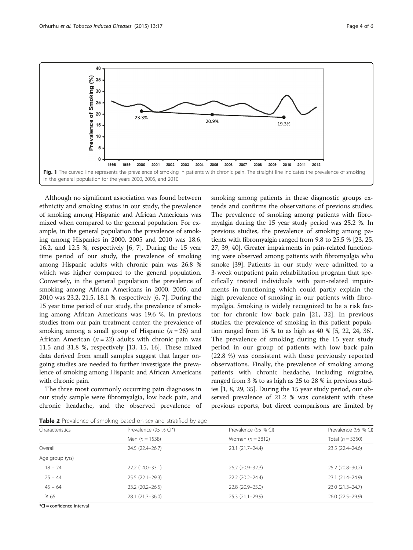<span id="page-3-0"></span>

Although no significant association was found between ethnicity and smoking status in our study, the prevalence of smoking among Hispanic and African Americans was mixed when compared to the general population. For example, in the general population the prevalence of smoking among Hispanics in 2000, 2005 and 2010 was 18.6, 16.2, and 12.5 %, respectively [[6, 7\]](#page-4-0). During the 15 year time period of our study, the prevalence of smoking among Hispanic adults with chronic pain was 26.8 % which was higher compared to the general population. Conversely, in the general population the prevalence of smoking among African Americans in 2000, 2005, and 2010 was 23.2, 21.5, 18.1 %, respectively [[6, 7](#page-4-0)]. During the 15 year time period of our study, the prevalence of smoking among African Americans was 19.6 %. In previous studies from our pain treatment center, the prevalence of smoking among a small group of Hispanic  $(n = 26)$  and African American ( $n = 22$ ) adults with chronic pain was 11.5 and 31.8 %, respectively [[13](#page-4-0), [15](#page-4-0), [16\]](#page-4-0). These mixed data derived from small samples suggest that larger ongoing studies are needed to further investigate the prevalence of smoking among Hispanic and African Americans with chronic pain.

The three most commonly occurring pain diagnoses in our study sample were fibromyalgia, low back pain, and chronic headache, and the observed prevalence of smoking among patients in these diagnostic groups extends and confirms the observations of previous studies. The prevalence of smoking among patients with fibromyalgia during the 15 year study period was 25.2 %. In previous studies, the prevalence of smoking among patients with fibromyalgia ranged from 9.8 to 25.5 % [\[23, 25](#page-5-0), [27](#page-5-0), [39](#page-5-0), [40](#page-5-0)]. Greater impairments in pain-related functioning were observed among patients with fibromyalgia who smoke [\[39\]](#page-5-0). Patients in our study were admitted to a 3-week outpatient pain rehabilitation program that specifically treated individuals with pain-related impairments in functioning which could partly explain the high prevalence of smoking in our patients with fibromyalgia. Smoking is widely recognized to be a risk factor for chronic low back pain [[21, 32\]](#page-5-0). In previous studies, the prevalence of smoking in this patient population ranged from 16 % to as high as 40 % [\[5,](#page-4-0) [22](#page-5-0), [24](#page-5-0), [36](#page-5-0)]. The prevalence of smoking during the 15 year study period in our group of patients with low back pain (22.8 %) was consistent with these previously reported observations. Finally, the prevalence of smoking among patients with chronic headache, including migraine, ranged from 3 % to as high as 25 to 28 % in previous studies [\[1](#page-4-0), [8](#page-4-0), [29, 35](#page-5-0)]. During the 15 year study period, our observed prevalence of 21.2 % was consistent with these previous reports, but direct comparisons are limited by

Table 2 Prevalence of smoking based on sex and stratified by age

| Characteristics | Prevalence (95 % Cl*) | Prevalence (95 % CI) | Prevalence (95 % CI) |
|-----------------|-----------------------|----------------------|----------------------|
|                 | Men $(n = 1538)$      | Women $(n = 3812)$   | Total $(n = 5350)$   |
| Overall         | 24.5 (22.4 - 26.7)    | 23.1 (21.7-24.4)     | $23.5(22.4 - 24.6)$  |
| Age group (yrs) |                       |                      |                      |
| $18 - 24$       | $22.2(14.0-33.1)$     | 26.2 (20.9 - 32.3)   | $25.2(20.8 - 30.2)$  |
| $25 - 44$       | $25.5(22.1-29.3)$     | $22.2(20.2 - 24.4)$  | 23.1 (21.4–24.9)     |
| $45 - 64$       | $23.2(20.2 - 26.5)$   | 22.8 (20.9-25.0)     | $23.0(21.3 - 24.7)$  |
| $\geq 65$       | $28.1(21.3 - 36.0)$   | $25.3(21.1-29.9)$    | $26.0(22.5-29.9)$    |

\*CI = confidence interval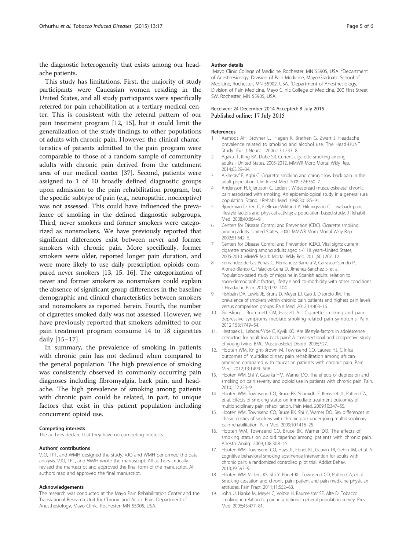<span id="page-4-0"></span>the diagnostic heterogeneity that exists among our headache patients.

This study has limitations. First, the majority of study participants were Caucasian women residing in the United States, and all study participants were specifically referred for pain rehabilitation at a tertiary medical center. This is consistent with the referral pattern of our pain treatment program [12, 15], but it could limit the generalization of the study findings to other populations of adults with chronic pain. However, the clinical characteristics of patients admitted to the pain program were comparable to those of a random sample of community adults with chronic pain derived from the catchment area of our medical center [[37](#page-5-0)]. Second, patients were assigned to 1 of 10 broadly defined diagnostic groups upon admission to the pain rehabilitation program, but the specific subtype of pain (e.g., neuropathic, nociceptive) was not assessed. This could have influenced the prevalence of smoking in the defined diagnostic subgroups. Third, never smokers and former smokers were categorized as nonsmokers. We have previously reported that significant differences exist between never and former smokers with chronic pain. More specifically, former smokers were older, reported longer pain duration, and were more likely to use daily prescription opioids compared never smokers [13, 15, 16]. The categorization of never and former smokers as nonsmokers could explain the absence of significant group differences in the baseline demographic and clinical characteristics between smokers and nonsmokers as reported herein. Fourth, the number of cigarettes smoked daily was not assessed. However, we have previously reported that smokers admitted to our pain treatment program consume 14 to 18 cigarettes daily [15–17].

In summary, the prevalence of smoking in patients with chronic pain has not declined when compared to the general population. The high prevalence of smoking was consistently observed in commonly occurring pain diagnoses including fibromyalgia, back pain, and headache. The high prevalence of smoking among patients with chronic pain could be related, in part, to unique factors that exist in this patient population including concurrent opioid use.

#### Competing interests

The authors declare that they have no competing interests.

#### Authors' contributions

VJO, TPT, and WMH designed the study. VJO and WMH performed the data analysis. VJO, TPT, and WMH wrote the manuscript. All authors critically revised the manuscript and approved the final form of the manuscript. All authors read and approved the final manuscript.

#### Acknowledgements

The research was conducted at the Mayo Pain Rehabilitation Center and the Translational Research Unit for Chronic and Acute Pain, Department of Anesthesiology, Mayo Clinic, Rochester, MN 55905, USA.

#### Author details

<sup>1</sup>Mayo Clinic College of Medicine, Rochester, MN 55905, USA. <sup>2</sup>Department of Anesthesiology, Division of Pain Medicine, Mayo Graduate School of Medicine, Rochester, MN 55902, USA. <sup>3</sup>Department of Anesthesiology Division of Pain Medicine, Mayo Clinic College of Medicine, 200 First Street SW, Rochester, MN 55905, USA.

#### Received: 24 December 2014 Accepted: 8 July 2015 Published online: 17 July 2015

#### References

- 1. Aamodt AH, Stovner LJ, Hagen K, Brathen G, Zwart J. Headache prevalence related to smoking and alcohol use. The Head-HUNT Study. Eur J Neurol. 2006;13:1233–8.
- 2. Agaku IT, King BA, Dube SR. Current cigarette smoking among adults - United States, 2005-2012. MMWR Morb Mortal Wkly Rep. 2014;63:29–34.
- 3. Alkherayf F, Agbi C. Cigarette smoking and chronic low back pain in the adult population. Clin Invest Med. 2009;32:E360–7.
- 4. Andersson H, Ejlertsson G, Leden I. Widespread musculoskeletal chronic pain associated with smoking. An epidemiological study in a general rural population. Scand J Rehabil Med. 1998;30:185–91.
- 5. Bjorck-van Dijken C, Fjellman-Wiklund A, Hildingsson C. Low back pain, lifestyle factors and physical activity: a population based-study. J Rehabil Med. 2008;40:864–9.
- 6. Centers for Disease Control and Prevention (CDC). Cigarette smoking among adults–United States, 2000. MMWR Morb Mortal Wkly Rep. 2002;51:642–5.
- 7. Centers for Disease Control and Prevention (CDC). Vital signs: current cigarette smoking among adults aged >/=18 years–United States, 2005-2010. MMWR Morb Mortal Wkly Rep. 2011;60:1207–12.
- 8. Fernandez-de-Las-Penas C, Hernandez-Barrera V, Carrasco-Garrido P, Alonso-Blanco C, Palacios-Cena D, Jimenez-Sanchez S, et al. Population-based study of migraine in Spanish adults: relation to socio-demographic factors, lifestyle and co-morbidity with other conditions. J Headache Pain. 2010;11:97–104.
- 9. Fishbain DA, Lewis JE, Bruns D, Meyer LJ, Gao J, Disorbio JM. The prevalence of smokers within chronic pain patients and highest pain levels versus comparison groups. Pain Med. 2012;14:403–16.
- 10. Goesling J, Brummett CM, Hassett AL. Cigarette smoking and pain: depressive symptoms mediate smoking-related pain symptoms. Pain. 2012;153:1749–54.
- 11. Hestbaek L, Leboeuf-Yde C, Kyvik KO. Are lifestyle-factors in adolescence predictors for adult low back pain? A cross-sectional and prospective study of young twins. BMC Musculoskelet Disord. 2006;7:27.
- 12. Hooten WM, Knight-Brown M, Townsend CO, Laures HJ. Clinical outcomes of multidisciplinary pain rehabilitation among african american compared with caucasian patients with chronic pain. Pain Med. 2012;13:1499–508.
- 13. Hooten WM, Shi Y, Gazelka HM, Warner DO. The effects of depression and smoking on pain severity and opioid use in patients with chronic pain. Pain. 2010;152:223–9.
- 14. Hooten WM, Townsend CO, Bruce BK, Schmidt JE, Kerkvliet JL, Patten CA, et al. Effects of smoking status on immediate treatment outcomes of multidisciplinary pain rehabilitation. Pain Med. 2009;10:347–55.
- 15. Hooten WM, Townsend CO, Bruce BK, Shi Y, Warner DO. Sex differences in characteristics of smokers with chronic pain undergoing multidisciplinary pain rehabilitation. Pain Med. 2009;10:1416–25.
- 16. Hooten WM, Townsend CO, Bruce BK, Warner DO. The effects of smoking status on opioid tapering among patients with chronic pain. Anesth Analg. 2009;108:308–15.
- 17. Hooten WM, Townsend CO, Hays JT, Ebnet KL, Gauvin TR, Gehin JM, et al. A cognitive behavioral smoking abstinence intervention for adults with chronic pain: a randomized controlled pilot trial. Addict Behav. 2013;39:593–9.
- 18. Hooten WM, Vickers KS, Shi Y, Ebnet KL, Townsend CO, Patten CA, et al. Smoking cessation and chronic pain: patient and pain medicine physician attitudes. Pain Pract. 2011;11:552–63.
- 19. John U, Hanke M, Meyer C, Volzke H, Baumeister SE, Alte D. Tobacco smoking in relation to pain in a national general population survey. Prev Med. 2006;43:477–81.